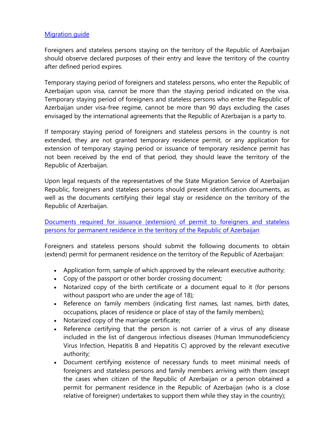## [Migration](https://www.migration.gov.az/home/booklet) guide

Foreigners and stateless persons staying on the territory of the Republic of Azerbaijan should observe declared purposes of their entry and leave the territory of the country after defined period expires.

Temporary staying period of foreigners and stateless persons, who enter the Republic of Azerbaijan upon visa, cannot be more than the staying period indicated on the visa. Temporary staying period of foreigners and stateless persons who enter the Republic of Azerbaijan under visa-free regime, cannot be more than 90 days excluding the cases envisaged by the international agreements that the Republic of Azerbaijan is a party to.

If temporary staying period of foreigners and stateless persons in the country is not extended, they are not granted temporary residence permit, or any application for extension of temporary staying period or issuance of temporary residence permit has not been received by the end of that period, they should leave the territory of the Republic of Azerbaijan.

Upon legal requests of the representatives of the State Migration Service of Azerbaijan Republic, foreigners and stateless persons should present identification documents, as well as the documents certifying their legal stay or residence on the territory of the Republic of Azerbaijan.

[Documents required for issuance \(extension\) of permit to foreigners and stateless](https://migration.gov.az/home/documents)  [persons for permanent residence in the territory of the Republic of Azerbaijan](https://migration.gov.az/home/documents)

Foreigners and stateless persons should submit the following documents to obtain (extend) permit for permanent residence on the territory of the Republic of Azerbaijan:

- Application form, sample of which approved by the relevant executive authority;
- Copy of the passport or other border crossing document;
- Notarized copy of the birth certificate or a document equal to it (for persons without passport who are under the age of 18);
- Reference on family members (indicating first names, last names, birth dates, occupations, places of residence or place of stay of the family members);
- Notarized copy of the marriage certificate;
- Reference certifying that the person is not carrier of a virus of any disease included in the list of dangerous infectious diseases (Human Immunodeficiency Virus Infection, Hepatitis B and Hepatitis C) approved by the relevant executive authority;
- Document certifying existence of necessary funds to meet minimal needs of foreigners and stateless persons and family members arriving with them (except the cases when citizen of the Republic of Azerbaijan or a person obtained a permit for permanent residence in the Republic of Azerbaijan (who is a close relative of foreigner) undertakes to support them while they stay in the country);